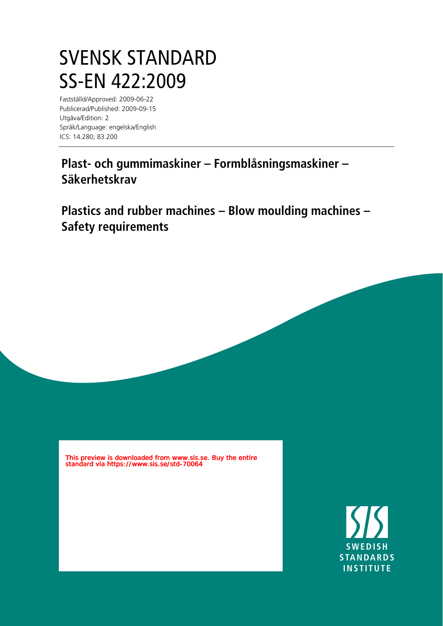## SVENSK STANDARD SS-EN 422:2009

Fastställd/Approved: 2009-06-22 Publicerad/Published: 2009-09-15 Utgåva/Edition: 2 Språk/Language: engelska/English ICS: 14.280; 83.200

**Plast- och gummimaskiner – Formblåsningsmaskiner – Säkerhetskrav**

**Plastics and rubber machines – Blow moulding machines – Safety requirements**

This preview is downloaded from www.sis.se. Buy the entire standard via https://www.sis.se/std-70064

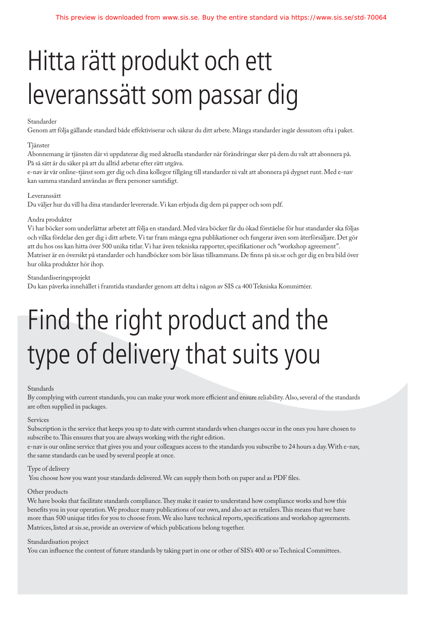## Hitta rätt produkt och ett leveranssätt som passar dig

## Standarder

Genom att följa gällande standard både effektiviserar och säkrar du ditt arbete. Många standarder ingår dessutom ofta i paket.

## Tjänster

Abonnemang är tjänsten där vi uppdaterar dig med aktuella standarder när förändringar sker på dem du valt att abonnera på. På så sätt är du säker på att du alltid arbetar efter rätt utgåva.

e-nav är vår online-tjänst som ger dig och dina kollegor tillgång till standarder ni valt att abonnera på dygnet runt. Med e-nav kan samma standard användas av flera personer samtidigt.

### Leveranssätt

Du väljer hur du vill ha dina standarder levererade. Vi kan erbjuda dig dem på papper och som pdf.

### Andra produkter

Vi har böcker som underlättar arbetet att följa en standard. Med våra böcker får du ökad förståelse för hur standarder ska följas och vilka fördelar den ger dig i ditt arbete. Vi tar fram många egna publikationer och fungerar även som återförsäljare. Det gör att du hos oss kan hitta över 500 unika titlar. Vi har även tekniska rapporter, specikationer och "workshop agreement". Matriser är en översikt på standarder och handböcker som bör läsas tillsammans. De finns på sis.se och ger dig en bra bild över hur olika produkter hör ihop.

### Standardiseringsprojekt

Du kan påverka innehållet i framtida standarder genom att delta i någon av SIS ca 400 Tekniska Kommittéer.

# Find the right product and the type of delivery that suits you

#### Standards

By complying with current standards, you can make your work more efficient and ensure reliability. Also, several of the standards are often supplied in packages.

#### Services

Subscription is the service that keeps you up to date with current standards when changes occur in the ones you have chosen to subscribe to. This ensures that you are always working with the right edition.

e-nav is our online service that gives you and your colleagues access to the standards you subscribe to 24 hours a day. With e-nav, the same standards can be used by several people at once.

#### Type of delivery

You choose how you want your standards delivered. We can supply them both on paper and as PDF files.

## Other products

We have books that facilitate standards compliance. They make it easier to understand how compliance works and how this benefits you in your operation. We produce many publications of our own, and also act as retailers. This means that we have more than 500 unique titles for you to choose from. We also have technical reports, specifications and workshop agreements. Matrices, listed at sis.se, provide an overview of which publications belong together.

#### Standardisation project

You can influence the content of future standards by taking part in one or other of SIS's 400 or so Technical Committees.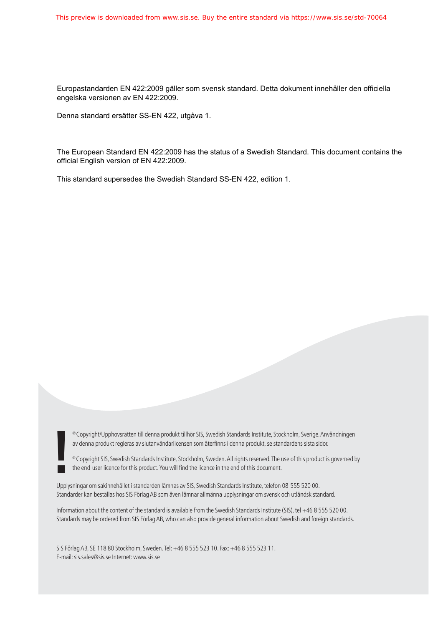Europastandarden EN 422:2009 gäller som svensk standard. Detta dokument innehåller den officiella engelska versionen av EN 422:2009.

Denna standard ersätter SS-EN 422, utgåva 1.

The European Standard EN 422:2009 has the status of a Swedish Standard. This document contains the official English version of EN 422:2009.

This standard supersedes the Swedish Standard SS-EN 422, edition 1.

© Copyright/Upphovsrätten till denna produkt tillhör SIS, Swedish Standards Institute, Stockholm, Sverige. Användningen av denna produkt regleras av slutanvändarlicensen som återfinns i denna produkt, se standardens sista sidor.

© Copyright/Upphovsrätten till denna produkt tillhör SIS, Swedish Standards Institute, Stockholm, Sverige. Användningen<br>av denna produkt regleras av slutanvändarlicensen som återfinns i denna produkt, se standardens sista

Upplysningar om sakinnehållet i standarden lämnas av SIS, Swedish Standards Institute, telefon 08-555 520 00. Standarder kan beställas hos SIS Förlag AB som även lämnar allmänna upplysningar om svensk och utländsk standard.

Information about the content of the standard is available from the Swedish Standards Institute (SIS), tel +46 8 555 520 00. Standards may be ordered from SIS Förlag AB, who can also provide general information about Swedish and foreign standards.

SIS Förlag AB, SE 118 80 Stockholm, Sweden. Tel: +46 8 555 523 10. Fax: +46 8 555 523 11. E-mail: sis.sales@sis.se Internet: www.sis.se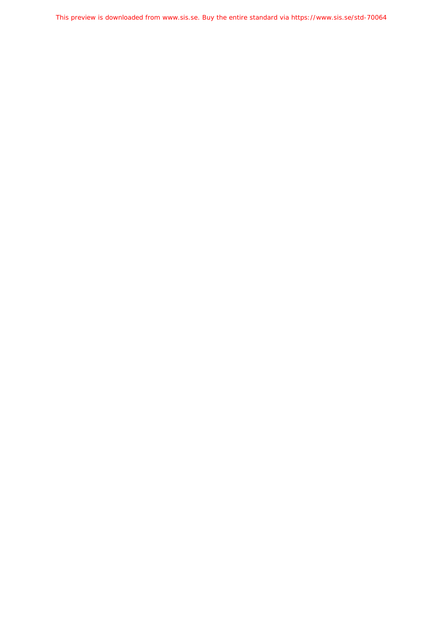This preview is downloaded from www.sis.se. Buy the entire standard via https://www.sis.se/std-70064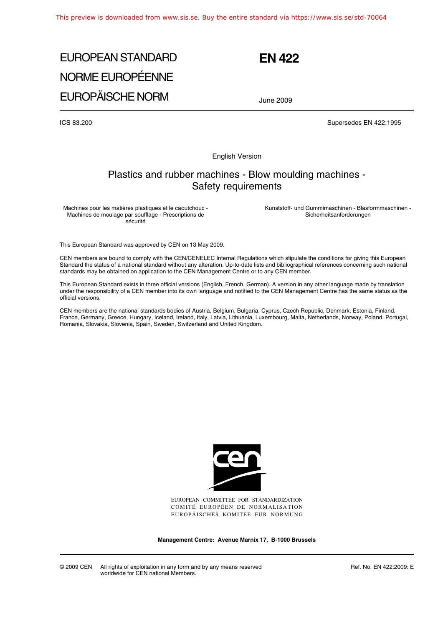## EUROPEAN STANDARD NORME EUROPÉENNE EUROPÄISCHE NORM

June 2009

**EN 422** 

ICS 83.200 Supersedes EN 422:1995

English Version

## Plastics and rubber machines - Blow moulding machines - Safety requirements

Machines pour les matières plastiques et le caoutchouc - Machines de moulage par soufflage - Prescriptions de sécurité

Kunststoff- und Gummimaschinen - Blasformmaschinen - Sicherheitsanforderungen

This European Standard was approved by CEN on 13 May 2009.

CEN members are bound to comply with the CEN/CENELEC Internal Regulations which stipulate the conditions for giving this European Standard the status of a national standard without any alteration. Up-to-date lists and bibliographical references concerning such national standards may be obtained on application to the CEN Management Centre or to any CEN member.

This European Standard exists in three official versions (English, French, German). A version in any other language made by translation under the responsibility of a CEN member into its own language and notified to the CEN Management Centre has the same status as the official versions.

CEN members are the national standards bodies of Austria, Belgium, Bulgaria, Cyprus, Czech Republic, Denmark, Estonia, Finland, France, Germany, Greece, Hungary, Iceland, Ireland, Italy, Latvia, Lithuania, Luxembourg, Malta, Netherlands, Norway, Poland, Portugal, Romania, Slovakia, Slovenia, Spain, Sweden, Switzerland and United Kingdom.



EUROPEAN COMMITTEE FOR STANDARDIZATION COMITÉ EUROPÉEN DE NORMALISATION EUROPÄISCHES KOMITEE FÜR NORMUNG

**Management Centre: Avenue Marnix 17, B-1000 Brussels**

Ref. No. EN 422:2009: E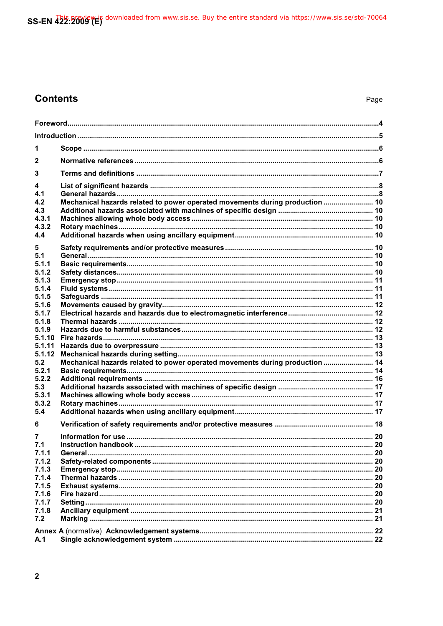SS-EN 422:2009 (E) downloaded from www.sis.se. Buy the entire standard via https://www.sis.se/std-70064

## **Contents**

| 1              |                                                                              |  |  |  |
|----------------|------------------------------------------------------------------------------|--|--|--|
| $\mathbf{2}$   |                                                                              |  |  |  |
| 3              |                                                                              |  |  |  |
| 4              |                                                                              |  |  |  |
| 4.1<br>4.2     | Mechanical hazards related to power operated movements during production  10 |  |  |  |
| 4.3            |                                                                              |  |  |  |
| 4.3.1          |                                                                              |  |  |  |
| 4.3.2          |                                                                              |  |  |  |
| 4.4            |                                                                              |  |  |  |
| 5              |                                                                              |  |  |  |
| 5.1            |                                                                              |  |  |  |
| 5.1.1          |                                                                              |  |  |  |
| 5.1.2          |                                                                              |  |  |  |
| 5.1.3          |                                                                              |  |  |  |
| 5.1.4          |                                                                              |  |  |  |
| 5.1.5          |                                                                              |  |  |  |
| 5.1.6<br>5.1.7 |                                                                              |  |  |  |
| 5.1.8          |                                                                              |  |  |  |
| 5.1.9          |                                                                              |  |  |  |
| 5.1.10         |                                                                              |  |  |  |
| 5.1.11         |                                                                              |  |  |  |
| 5.1.12         |                                                                              |  |  |  |
| 5.2            | Mechanical hazards related to power operated movements during production  14 |  |  |  |
| 5.2.1          |                                                                              |  |  |  |
| 5.2.2          |                                                                              |  |  |  |
| 5.3            |                                                                              |  |  |  |
| 5.3.1          |                                                                              |  |  |  |
| 5.3.2<br>5.4   |                                                                              |  |  |  |
|                |                                                                              |  |  |  |
| 6              |                                                                              |  |  |  |
| 7              |                                                                              |  |  |  |
| 7.1            |                                                                              |  |  |  |
| 7.1.1          |                                                                              |  |  |  |
| 7.1.2          |                                                                              |  |  |  |
| 7.1.3          |                                                                              |  |  |  |
| 7.1.4<br>7.1.5 |                                                                              |  |  |  |
| 7.1.6          |                                                                              |  |  |  |
| 7.1.7          |                                                                              |  |  |  |
| 7.1.8          |                                                                              |  |  |  |
| 7.2            |                                                                              |  |  |  |
|                |                                                                              |  |  |  |
| A.1            |                                                                              |  |  |  |
|                |                                                                              |  |  |  |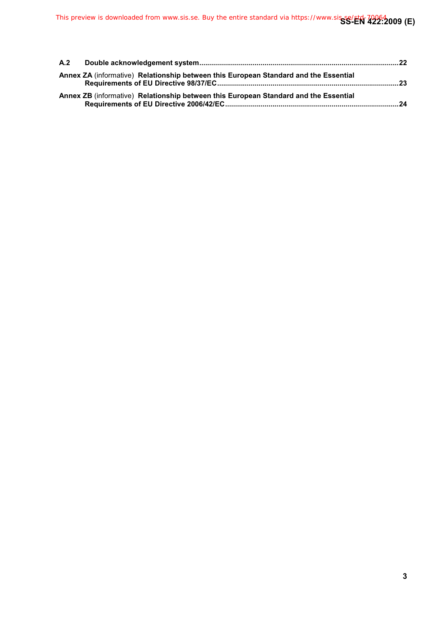| A.2 |                                                                                      |  |
|-----|--------------------------------------------------------------------------------------|--|
|     | Annex ZA (informative) Relationship between this European Standard and the Essential |  |
|     | Annex ZB (informative) Relationship between this European Standard and the Essential |  |

**EN 422:2009 (E)**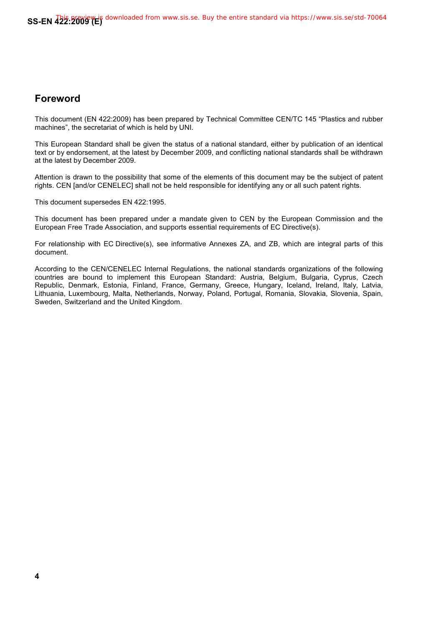## **Foreword**

**EN 422:2009 (E)** 

This document (EN 422:2009) has been prepared by Technical Committee CEN/TC 145 "Plastics and rubber machines", the secretariat of which is held by UNI.

This European Standard shall be given the status of a national standard, either by publication of an identical text or by endorsement, at the latest by December 2009, and conflicting national standards shall be withdrawn at the latest by December 2009.

Attention is drawn to the possibility that some of the elements of this document may be the subject of patent rights. CEN [and/or CENELEC] shall not be held responsible for identifying any or all such patent rights.

This document supersedes EN 422:1995.

This document has been prepared under a mandate given to CEN by the European Commission and the European Free Trade Association, and supports essential requirements of EC Directive(s).

For relationship with EC Directive(s), see informative Annexes ZA, and ZB, which are integral parts of this document.

According to the CEN/CENELEC Internal Regulations, the national standards organizations of the following countries are bound to implement this European Standard: Austria, Belgium, Bulgaria, Cyprus, Czech Republic, Denmark, Estonia, Finland, France, Germany, Greece, Hungary, Iceland, Ireland, Italy, Latvia, Lithuania, Luxembourg, Malta, Netherlands, Norway, Poland, Portugal, Romania, Slovakia, Slovenia, Spain, Sweden, Switzerland and the United Kingdom.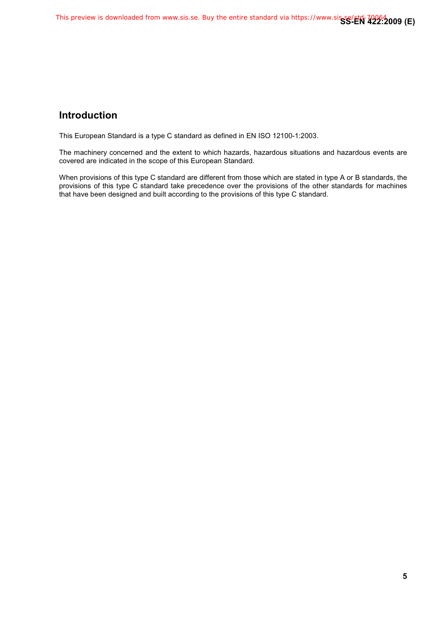## **Introduction**

This European Standard is a type C standard as defined in EN ISO 12100-1:2003.

The machinery concerned and the extent to which hazards, hazardous situations and hazardous events are covered are indicated in the scope of this European Standard.

When provisions of this type C standard are different from those which are stated in type A or B standards, the provisions of this type C standard take precedence over the provisions of the other standards for machines that have been designed and built according to the provisions of this type C standard.

**EN 422:2009 (E)**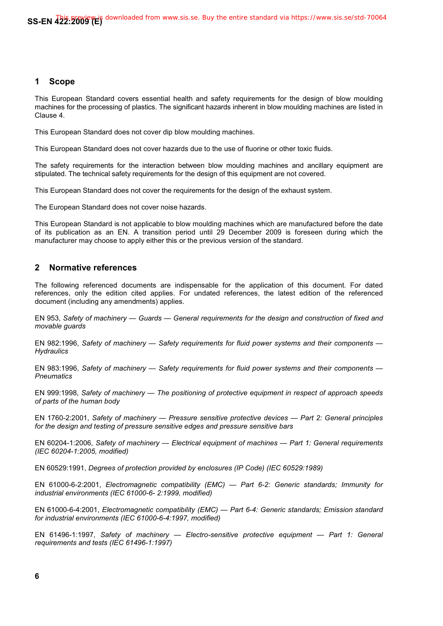## **1 Scope**

**EN 422:2009 (E)** 

This European Standard covers essential health and safety requirements for the design of blow moulding machines for the processing of plastics. The significant hazards inherent in blow moulding machines are listed in Clause 4.

This European Standard does not cover dip blow moulding machines.

This European Standard does not cover hazards due to the use of fluorine or other toxic fluids.

The safety requirements for the interaction between blow moulding machines and ancillary equipment are stipulated. The technical safety requirements for the design of this equipment are not covered.

This European Standard does not cover the requirements for the design of the exhaust system.

The European Standard does not cover noise hazards.

This European Standard is not applicable to blow moulding machines which are manufactured before the date of its publication as an EN. A transition period until 29 December 2009 is foreseen during which the manufacturer may choose to apply either this or the previous version of the standard.

## **2 Normative references**

The following referenced documents are indispensable for the application of this document. For dated references, only the edition cited applies. For undated references, the latest edition of the referenced document (including any amendments) applies.

EN 953, *Safety of machinery — Guards — General requirements for the design and construction of fixed and movable guards*

EN 982:1996, *Safety of machinery — Safety requirements for fluid power systems and their components — Hydraulics*

EN 983:1996, *Safety of machinery — Safety requirements for fluid power systems and their components — Pneumatics*

EN 999:1998, *Safety of machinery — The positioning of protective equipment in respect of approach speeds of parts of the human body*

EN 1760-2:2001, *Safety of machinery — Pressure sensitive protective devices — Part 2: General principles for the design and testing of pressure sensitive edges and pressure sensitive bars*

EN 60204-1:2006, *Safety of machinery — Electrical equipment of machines — Part 1: General requirements (IEC 60204-1:2005, modified)*

EN 60529:1991, *Degrees of protection provided by enclosures (IP Code) (IEC 60529:1989)*

EN 61000-6-2:2001, *Electromagnetic compatibility (EMC) — Part 6-2: Generic standards; Immunity for industrial environments (IEC 61000-6- 2:1999, modified)*

EN 61000-6-4:2001, *Electromagnetic compatibility (EMC) — Part 6-4: Generic standards; Emission standard for industrial environments (IEC 61000-6-4:1997, modified)*

EN 61496-1:1997, *Safety of machinery — Electro-sensitive protective equipment — Part 1: General requirements and tests (IEC 61496-1:1997)*